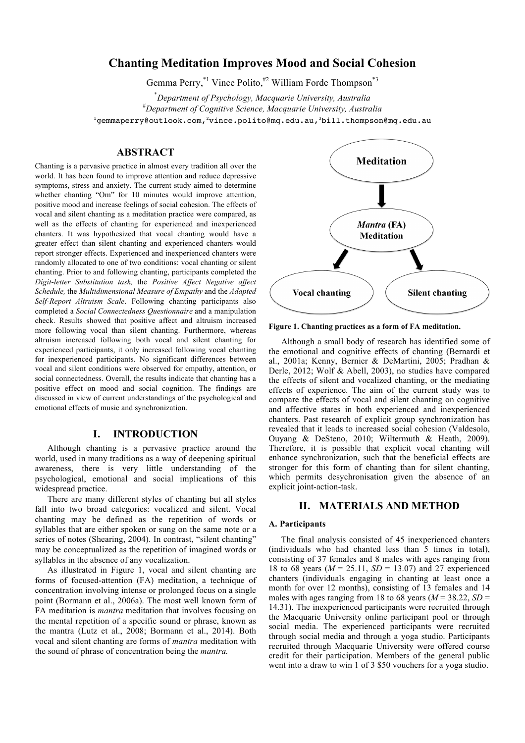# **Chanting Meditation Improves Mood and Social Cohesion**

Gemma Perry,<sup>\*1</sup> Vince Polito,<sup>#2</sup> William Forde Thompson<sup>\*3</sup>

\* *Department of Psychology, Macquarie University, Australia* # *Department of Cognitive Science, Macquarie University, Australia* <sup>1</sup>gemmaperry@outlook.com,<sup>2</sup>vince.polito@mq.edu.au,<sup>3</sup>bill.thompson@mq.edu.au

# **ABSTRACT**

Chanting is a pervasive practice in almost every tradition all over the world. It has been found to improve attention and reduce depressive symptoms, stress and anxiety. The current study aimed to determine whether chanting "Om" for 10 minutes would improve attention, positive mood and increase feelings of social cohesion. The effects of vocal and silent chanting as a meditation practice were compared, as well as the effects of chanting for experienced and inexperienced chanters. It was hypothesized that vocal chanting would have a greater effect than silent chanting and experienced chanters would report stronger effects. Experienced and inexperienced chanters were randomly allocated to one of two conditions: vocal chanting or silent chanting. Prior to and following chanting, participants completed the *Digit-letter Substitution task,* the *Positive Affect Negative affect Schedule,* the *Multidimensional Measure of Empathy* and the *Adapted Self-Report Altruism Scale*. Following chanting participants also completed a *Social Connectedness Questionnaire* and a manipulation check. Results showed that positive affect and altruism increased more following vocal than silent chanting. Furthermore, whereas altruism increased following both vocal and silent chanting for experienced participants, it only increased following vocal chanting for inexperienced participants. No significant differences between vocal and silent conditions were observed for empathy, attention, or social connectedness. Overall, the results indicate that chanting has a positive effect on mood and social cognition. The findings are discussed in view of current understandings of the psychological and emotional effects of music and synchronization.

# **I. INTRODUCTION**

Although chanting is a pervasive practice around the world, used in many traditions as a way of deepening spiritual awareness, there is very little understanding of the psychological, emotional and social implications of this widespread practice.

There are many different styles of chanting but all styles fall into two broad categories: vocalized and silent. Vocal chanting may be defined as the repetition of words or syllables that are either spoken or sung on the same note or a series of notes (Shearing, 2004). In contrast, "silent chanting" may be conceptualized as the repetition of imagined words or syllables in the absence of any vocalization.

As illustrated in Figure 1, vocal and silent chanting are forms of focused-attention (FA) meditation, a technique of concentration involving intense or prolonged focus on a single point (Bormann et al., 2006a). The most well known form of FA meditation is *mantra* meditation that involves focusing on the mental repetition of a specific sound or phrase, known as the mantra (Lutz et al., 2008; Bormann et al., 2014). Both vocal and silent chanting are forms of *mantra* meditation with the sound of phrase of concentration being the *mantra.*



**Figure 1. Chanting practices as a form of FA meditation.**

Although a small body of research has identified some of the emotional and cognitive effects of chanting (Bernardi et al., 2001a; Kenny, Bernier & DeMartini, 2005; Pradhan & Derle, 2012; Wolf & Abell, 2003), no studies have compared the effects of silent and vocalized chanting, or the mediating effects of experience. The aim of the current study was to compare the effects of vocal and silent chanting on cognitive and affective states in both experienced and inexperienced chanters. Past research of explicit group synchronization has revealed that it leads to increased social cohesion (Valdesolo, Ouyang & DeSteno, 2010; Wiltermuth & Heath, 2009). Therefore, it is possible that explicit vocal chanting will enhance synchronization, such that the beneficial effects are stronger for this form of chanting than for silent chanting, which permits desychronisation given the absence of an explicit joint-action-task.

# **II. MATERIALS AND METHOD**

#### **A. Participants**

The final analysis consisted of 45 inexperienced chanters (individuals who had chanted less than 5 times in total), consisting of 37 females and 8 males with ages ranging from 18 to 68 years (*M* = 25.11, *SD* = 13.07) and 27 experienced chanters (individuals engaging in chanting at least once a month for over 12 months), consisting of 13 females and 14 males with ages ranging from 18 to 68 years  $(M = 38.22, SD =$ 14.31). The inexperienced participants were recruited through the Macquarie University online participant pool or through social media. The experienced participants were recruited through social media and through a yoga studio. Participants recruited through Macquarie University were offered course credit for their participation. Members of the general public went into a draw to win 1 of 3 \$50 vouchers for a yoga studio.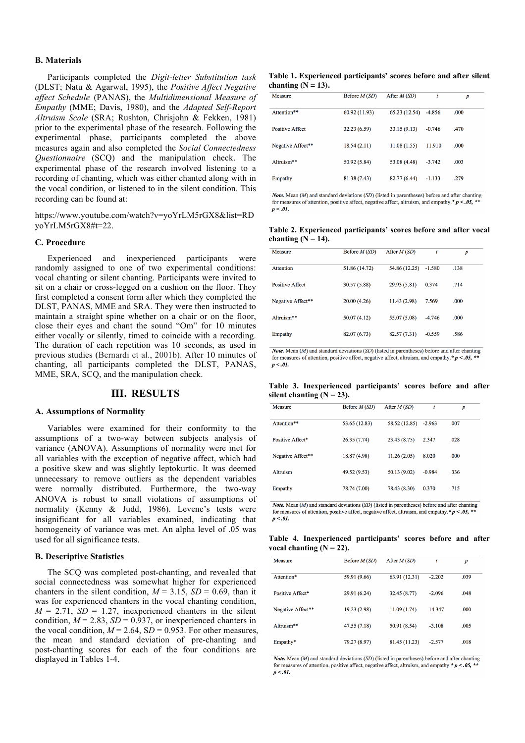#### **B. Materials**

Participants completed the *Digit-letter Substitution task* (DLST; Natu & Agarwal, 1995), the *Positive Affect Negative affect Schedule* (PANAS), the *Multidimensional Measure of Empathy* (MME; Davis, 1980), and the *Adapted Self-Report Altruism Scale* (SRA; Rushton, Chrisjohn & Fekken, 1981) prior to the experimental phase of the research. Following the experimental phase, participants completed the above measures again and also completed the *Social Connectedness Questionnaire* (SCQ) and the manipulation check. The experimental phase of the research involved listening to a recording of chanting, which was either chanted along with in the vocal condition, or listened to in the silent condition. This recording can be found at:

https://www.youtube.com/watch?v=yoYrLM5rGX8&list=RD yoYrLM5rGX8#t=22.

#### **C. Procedure**

Experienced and inexperienced participants were randomly assigned to one of two experimental conditions: vocal chanting or silent chanting. Participants were invited to sit on a chair or cross-legged on a cushion on the floor. They first completed a consent form after which they completed the DLST, PANAS, MME and SRA. They were then instructed to maintain a straight spine whether on a chair or on the floor, close their eyes and chant the sound "Om" for 10 minutes either vocally or silently, timed to coincide with a recording. The duration of each repetition was 10 seconds, as used in previous studies (Bernardi et al., 2001b). After 10 minutes of chanting, all participants completed the DLST, PANAS, MME, SRA, SCQ, and the manipulation check.

### **III. RESULTS**

### **A. Assumptions of Normality**

Variables were examined for their conformity to the assumptions of a two-way between subjects analysis of variance (ANOVA). Assumptions of normality were met for all variables with the exception of negative affect, which had a positive skew and was slightly leptokurtic. It was deemed unnecessary to remove outliers as the dependent variables were normally distributed. Furthermore, the two-way ANOVA is robust to small violations of assumptions of normality (Kenny & Judd, 1986). Levene's tests were insignificant for all variables examined, indicating that homogeneity of variance was met. An alpha level of .05 was used for all significance tests.

#### **B. Descriptive Statistics**

The SCQ was completed post-chanting, and revealed that social connectedness was somewhat higher for experienced chanters in the silent condition,  $M = 3.15$ ,  $SD = 0.69$ , than it was for experienced chanters in the vocal chanting condition,  $M = 2.71$ ,  $SD = 1.27$ , inexperienced chanters in the silent condition,  $M = 2.83$ ,  $SD = 0.937$ , or inexperienced chanters in the vocal condition,  $M = 2.64$ ,  $SD = 0.953$ . For other measures, the mean and standard deviation of pre-chanting and post-chanting scores for each of the four conditions are displayed in Tables 1-4.

**Table 1. Experienced participants' scores before and after silent**  chanting  $(N = 13)$ .

| Measure                | Before $M(SD)$ | After $M(SD)$ | t        | $\boldsymbol{p}$ |  |
|------------------------|----------------|---------------|----------|------------------|--|
| Attention**            | 60.92 (11.93)  | 65.23 (12.54) | $-4.856$ | .000             |  |
| <b>Positive Affect</b> | 32.23 (6.59)   | 33.15(9.13)   | $-0.746$ | .470             |  |
| Negative Affect**      | 18.54(2.11)    | 11.08(1.55)   | 11.910   | .000             |  |
| Altruism**             | 50.92 (5.84)   | 53.08 (4.48)  | $-3.742$ | .003             |  |
| Empathy                | 81.38 (7.43)   | 82.77 (6.44)  | $-1.133$ | .279             |  |
|                        |                |               |          |                  |  |

**Note.** Mean  $(M)$  and standard deviations  $(SD)$  (listed in parentheses) before and after chanting for measures of attention, positive affect, negative affect, altruism, and empathy. \*  $p < .05$ , \*\*  $p < .01$ .

**Table 2. Experienced participants' scores before and after vocal**  chanting  $(N = 14)$ .

| Measure                | Before $M(SD)$ | After $M(SD)$ | t        | p    |
|------------------------|----------------|---------------|----------|------|
| Attention              | 51.86 (14.72)  | 54.86 (12.25) | $-1.580$ | .138 |
| <b>Positive Affect</b> | 30.57 (5.88)   | 29.93 (5.81)  | 0.374    | .714 |
| Negative Affect**      | 20.00(4.26)    | 11.43(2.98)   | 7.569    | .000 |
| Altruism**             | 50.07(4.12)    | 55.07 (5.08)  | $-4.746$ | .000 |
| Empathy                | 82.07 (6.73)   | 82.57 (7.31)  | $-0.559$ | .586 |

**Note.** Mean  $(M)$  and standard deviations  $(SD)$  (listed in parentheses) before and after chanting for measures of attention, positive affect, negative affect, altruism, and empathy. \*  $p < .05$ , \*\*  $n < .01$ .

**Table 3. Inexperienced participants' scores before and after**  silent chanting  $(N = 23)$ .

| Measure           | Before $M(SD)$ | After $M(SD)$ | t        | $\boldsymbol{p}$ |
|-------------------|----------------|---------------|----------|------------------|
| Attention**       | 53.65 (12.83)  | 58.52 (12.85) | $-2.963$ | .007             |
| Positive Affect*  | 26.35 (7.74)   | 23.43 (8.75)  | 2.347    | .028             |
| Negative Affect** | 18.87 (4.98)   | 11.26(2.05)   | 8.020    | .000             |
| Altruism          | 49.52 (9.53)   | 50.13 (9.02)  | $-0.984$ | .336             |
| Empathy           | 78.74 (7.00)   | 78.43 (8.30)  | 0.370    | .715             |

Note. Mean  $(M)$  and standard deviations  $(SD)$  (listed in parentheses) before and after chanting for measures of attention, positive affect, negative affect, altruism, and empathy. \*  $p < .05$ , \*  $p < .01$ .

**Table 4. Inexperienced participants' scores before and after**  vocal chanting  $(N = 22)$ .

| Measure           | Before $M(SD)$ | After $M(SD)$ | t        | $\boldsymbol{p}$ |
|-------------------|----------------|---------------|----------|------------------|
| Attention*        | 59.91 (9.66)   | 63.91 (12.31) | $-2.202$ | .039             |
| Positive Affect*  | 29.91 (6.24)   | 32.45 (8.77)  | $-2.096$ | .048             |
| Negative Affect** | 19.23 (2.98)   | 11.09 (1.74)  | 14.347   | .000             |
| Altruism**        | 47.55 (7.18)   | 50.91 (8.54)  | $-3.108$ | .005             |
| Empathy*          | 79.27 (8.97)   | 81.45 (11.23) | $-2.577$ | .018             |

Note. Mean (M) and standard deviations (SD) (listed in parentheses) before and after chanting for measures of attention, positive affect, negative affect, altruism, and empathy. \*  $p < .05$ , \*\*  $p < .01$ .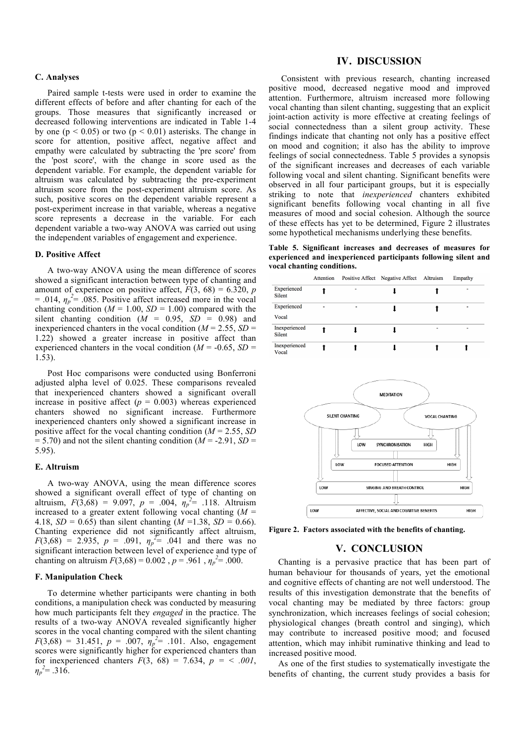### **C. Analyses**

Paired sample t-tests were used in order to examine the different effects of before and after chanting for each of the groups. Those measures that significantly increased or decreased following interventions are indicated in Table 1-4 by one ( $p \le 0.05$ ) or two ( $p \le 0.01$ ) asterisks. The change in score for attention, positive affect, negative affect and empathy were calculated by subtracting the 'pre score' from the 'post score', with the change in score used as the dependent variable. For example, the dependent variable for altruism was calculated by subtracting the pre-experiment altruism score from the post-experiment altruism score. As such, positive scores on the dependent variable represent a post-experiment increase in that variable, whereas a negative score represents a decrease in the variable. For each dependent variable a two-way ANOVA was carried out using the independent variables of engagement and experience.

#### **D. Positive Affect**

A two-way ANOVA using the mean difference of scores showed a significant interaction between type of chanting and amount of experience on positive affect,  $F(3, 68) = 6.320$ , *p*  $= .014$ ,  $\eta_p^2 = .085$ . Positive affect increased more in the vocal chanting condition ( $M = 1.00$ ,  $SD = 1.00$ ) compared with the silent chanting condition  $(M = 0.95, SD = 0.98)$  and inexperienced chanters in the vocal condition ( $M = 2.55$ ,  $SD =$ 1.22) showed a greater increase in positive affect than experienced chanters in the vocal condition ( $M = -0.65$ ,  $SD =$ 1.53).

Post Hoc comparisons were conducted using Bonferroni adjusted alpha level of 0.025. These comparisons revealed that inexperienced chanters showed a significant overall increase in positive affect  $(p = 0.003)$  whereas experienced chanters showed no significant increase. Furthermore inexperienced chanters only showed a significant increase in positive affect for the vocal chanting condition (*M* = 2.55, *SD*  $= 5.70$ ) and not the silent chanting condition ( $M = -2.91$ ,  $SD =$ 5.95).

#### **E. Altruism**

A two-way ANOVA, using the mean difference scores showed a significant overall effect of type of chanting on altruism,  $F(3,68) = 9.097$ ,  $p = .004$ ,  $\eta_p^2 = .118$ . Altruism increased to a greater extent following vocal chanting  $(M =$ 4.18,  $SD = 0.65$ ) than silent chanting ( $M = 1.38$ ,  $SD = 0.66$ ). Chanting experience did not significantly affect altruism,  $F(3,68) = 2.935$ ,  $p = .091$ ,  $\eta_p^2 = .041$  and there was no significant interaction between level of experience and type of chanting on altruism  $F(3,68) = 0.002$ ,  $p = .961$ ,  $\eta_p^2 = .000$ .

#### **F. Manipulation Check**

To determine whether participants were chanting in both conditions, a manipulation check was conducted by measuring how much participants felt they *engaged* in the practice. The results of a two-way ANOVA revealed significantly higher scores in the vocal chanting compared with the silent chanting  $F(3,68) = 31.451$ ,  $p = .007$ ,  $\eta_p^2 = .101$ . Also, engagement scores were significantly higher for experienced chanters than for inexperienced chanters  $F(3, 68) = 7.634$ ,  $p = < .001$ ,  $\eta_p^2 = .316$ .

### **IV. DISCUSSION**

Consistent with previous research, chanting increased positive mood, decreased negative mood and improved attention. Furthermore, altruism increased more following vocal chanting than silent chanting, suggesting that an explicit joint-action activity is more effective at creating feelings of social connectedness than a silent group activity. These findings indicate that chanting not only has a positive effect on mood and cognition; it also has the ability to improve feelings of social connectedness. Table 5 provides a synopsis of the significant increases and decreases of each variable following vocal and silent chanting. Significant benefits were observed in all four participant groups, but it is especially striking to note that *inexperienced* chanters exhibited significant benefits following vocal chanting in all five measures of mood and social cohesion. Although the source of these effects has yet to be determined, Figure 2 illustrates some hypothetical mechanisms underlying these benefits.

**Table 5. Significant increases and decreases of measures for experienced and inexperienced participants following silent and vocal chanting conditions.** 

|                              | Attention |   | Positive Affect Negative Affect Altruism | Empathy |
|------------------------------|-----------|---|------------------------------------------|---------|
| Experienced<br><b>Silent</b> |           | ۰ |                                          |         |
| Experienced<br>Vocal         |           |   |                                          |         |
| Inexperienced<br>Silent      |           |   |                                          |         |
| Inexperienced<br>Vocal       |           |   |                                          |         |



**Figure 2. Factors associated with the benefits of chanting.**

### **V. CONCLUSION**

Chanting is a pervasive practice that has been part of human behaviour for thousands of years, yet the emotional and cognitive effects of chanting are not well understood. The results of this investigation demonstrate that the benefits of vocal chanting may be mediated by three factors: group synchronization, which increases feelings of social cohesion; physiological changes (breath control and singing), which may contribute to increased positive mood; and focused attention, which may inhibit ruminative thinking and lead to increased positive mood.

As one of the first studies to systematically investigate the benefits of chanting, the current study provides a basis for